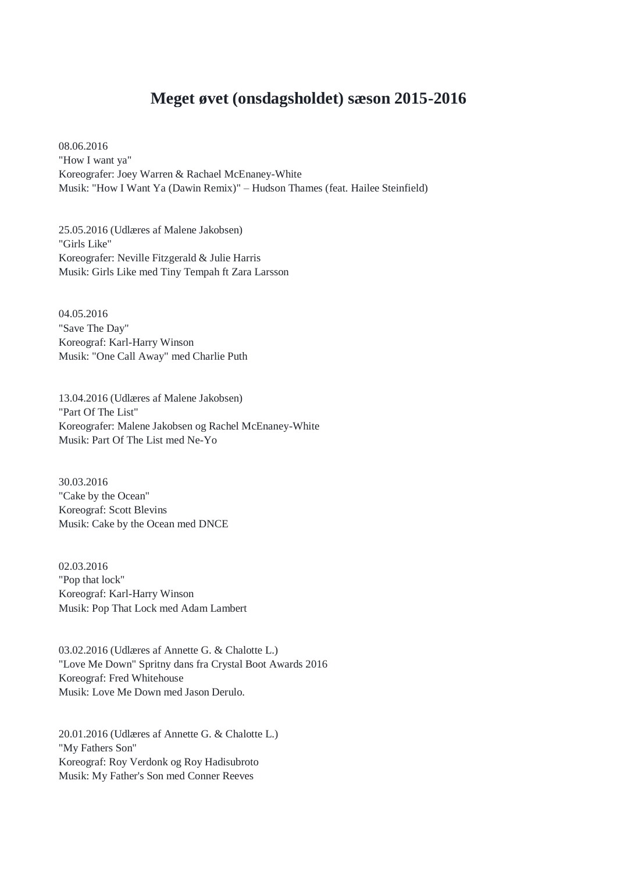## **Meget øvet (onsdagsholdet) sæson 2015-2016**

08.06.2016 "How I want ya" Koreografer: Joey Warren & Rachael McEnaney-White Musik: "How I Want Ya (Dawin Remix)" – Hudson Thames (feat. Hailee Steinfield)

25.05.2016 (Udlæres af Malene Jakobsen) "Girls Like" Koreografer: Neville Fitzgerald & Julie Harris Musik: Girls Like med Tiny Tempah ft Zara Larsson

04.05.2016 "Save The Day" Koreograf: Karl-Harry Winson Musik: "One Call Away" med Charlie Puth

13.04.2016 (Udlæres af Malene Jakobsen) "Part Of The List" Koreografer: Malene Jakobsen og Rachel McEnaney-White Musik: Part Of The List med Ne-Yo

30.03.2016 "Cake by the Ocean" Koreograf: Scott Blevins Musik: Cake by the Ocean med DNCE

02.03.2016 "Pop that lock" Koreograf: Karl-Harry Winson Musik: Pop That Lock med Adam Lambert

03.02.2016 (Udlæres af Annette G. & Chalotte L.) "Love Me Down" Spritny dans fra Crystal Boot Awards 2016 Koreograf: Fred Whitehouse Musik: Love Me Down med Jason Derulo.

20.01.2016 (Udlæres af Annette G. & Chalotte L.) "My Fathers Son" Koreograf: Roy Verdonk og Roy Hadisubroto Musik: My Father's Son med Conner Reeves